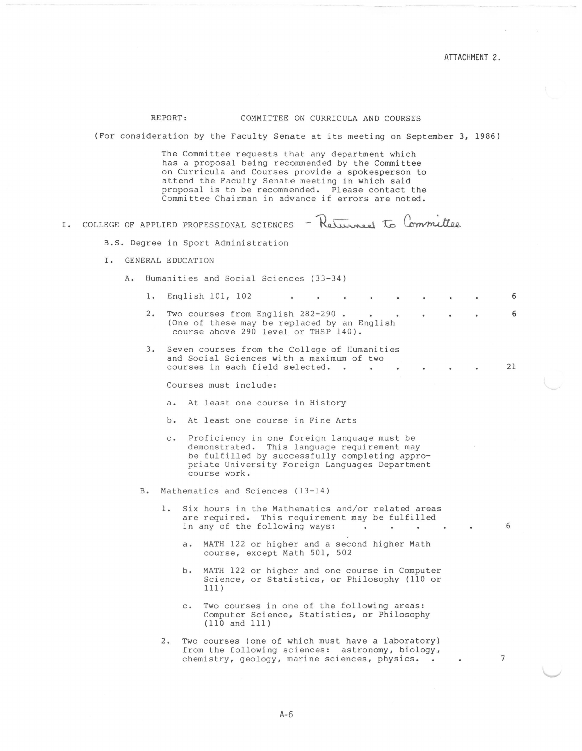7

## REPORT: COMMITTEE ON CURRICULA AND COURSES

(For consideration by the Faculty Senate at its meeting on September 3, 1986)

The Committee requests that any department which has a proposal being recommended by the Committee on Curricula and Courses provide a spokesperson to attend the Faculty Senate meeting in which said proposal is to be recommended. Please contact the

|    | Committee Chairman in advance if errors are noted.                                                                                          |                                        |                                                                                                                                                                                                                   |    |  |  |  |  |  |  |  |  |  |
|----|---------------------------------------------------------------------------------------------------------------------------------------------|----------------------------------------|-------------------------------------------------------------------------------------------------------------------------------------------------------------------------------------------------------------------|----|--|--|--|--|--|--|--|--|--|
| Ι. | - Returned to Committee<br>COLLEGE OF APPLIED PROFESSIONAL SCIENCES                                                                         |                                        |                                                                                                                                                                                                                   |    |  |  |  |  |  |  |  |  |  |
|    | B.S. Degree in Sport Administration                                                                                                         |                                        |                                                                                                                                                                                                                   |    |  |  |  |  |  |  |  |  |  |
|    | Ι.<br>GENERAL EDUCATION                                                                                                                     |                                        |                                                                                                                                                                                                                   |    |  |  |  |  |  |  |  |  |  |
|    | A.                                                                                                                                          | Humanities and Social Sciences (33-34) |                                                                                                                                                                                                                   |    |  |  |  |  |  |  |  |  |  |
|    | 1.                                                                                                                                          |                                        | English 101, 102                                                                                                                                                                                                  | 6  |  |  |  |  |  |  |  |  |  |
|    | Two courses from English 282-290.<br>2.<br>$\bullet$<br>(One of these may be replaced by an English<br>course above 290 level or THSP 140). |                                        |                                                                                                                                                                                                                   |    |  |  |  |  |  |  |  |  |  |
|    | 3.                                                                                                                                          |                                        | Seven courses from the College of Humanities<br>and Social Sciences with a maximum of two<br>courses in each field selected                                                                                       | 21 |  |  |  |  |  |  |  |  |  |
|    |                                                                                                                                             |                                        | Courses must include:                                                                                                                                                                                             |    |  |  |  |  |  |  |  |  |  |
|    |                                                                                                                                             |                                        | a. At least one course in History                                                                                                                                                                                 |    |  |  |  |  |  |  |  |  |  |
|    |                                                                                                                                             |                                        | b. At least one course in Fine Arts                                                                                                                                                                               |    |  |  |  |  |  |  |  |  |  |
|    |                                                                                                                                             |                                        | c. Proficiency in one foreign language must be<br>demonstrated. This language requirement may<br>be fulfilled by successfully completing appro-<br>priate University Foreign Languages Department<br>course work. |    |  |  |  |  |  |  |  |  |  |
|    | в.                                                                                                                                          | Mathematics and Sciences (13-14)       |                                                                                                                                                                                                                   |    |  |  |  |  |  |  |  |  |  |
|    |                                                                                                                                             | ı.                                     | Six hours in the Mathematics and/or related areas<br>are required. This requirement may be fulfilled<br>in any of the following ways:                                                                             | 6  |  |  |  |  |  |  |  |  |  |
|    |                                                                                                                                             | $a \cdot$                              | MATH 122 or higher and a second higher Math<br>course, except Math 501, 502                                                                                                                                       |    |  |  |  |  |  |  |  |  |  |
|    |                                                                                                                                             | b.                                     | MATH 122 or higher and one course in Computer<br>Science, or Statistics, or Philosophy (110 or<br>111)                                                                                                            |    |  |  |  |  |  |  |  |  |  |
|    |                                                                                                                                             | $\mathsf{C}$ .                         | Two courses in one of the following areas:<br>Computer Science, Statistics, or Philosophy<br>$(110 \text{ and } 111)$                                                                                             |    |  |  |  |  |  |  |  |  |  |

2. Two courses (one of which must have a laboratory) from the following sciences: astronomy, biology, chemistry, geology, marine sciences, physics.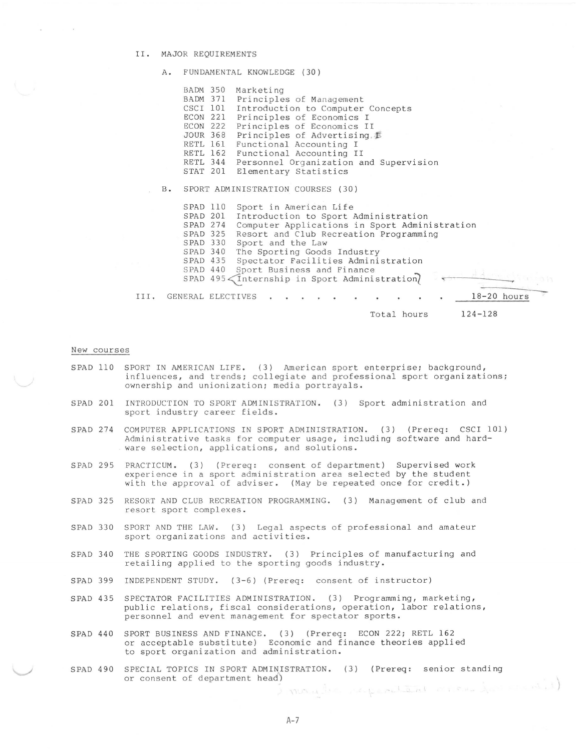## II. MAJOR REQUIREMENTS

A. FUNDAMENTAL KNOWLEDGE ( 30)

| BADM 350<br>Marketing<br>BADM 371<br>Principles of Management<br>CSCI 101<br>Introduction to Computer Concepts<br>ECON 221<br>Principles of Economics I<br>ECON 222<br>Principles of Economics II<br>Principles of Advertising.<br><b>JOUR 368</b><br>Functional Accounting I<br>RETL 161<br>RETL 162<br>Functional Accounting II<br>RETL 344<br>Personnel Organization and Supervision<br>STAT 201<br>Elementary Statistics<br>SPORT ADMINISTRATION COURSES (30)<br>$B -$<br>SPAD 110<br>Sport in American Life<br>SPAD 201<br>Introduction to Sport Administration<br>Computer Applications in Sport Administration<br>SPAD 274<br>SPAD 325<br>Resort and Club Recreation Programming<br>SPAD 330<br>Sport and the Law<br>SPAD 340<br>The Sporting Goods Industry<br>SPAD 435<br>Spectator Facilities Administration<br>Sport Business and Finance<br>SPAD 440<br>SPAD 495 (Internship in Sport Administration)<br>$18-20$ hours<br>III.<br>GENERAL ELECTIVES<br>$124 - 128$<br>Total hours |  |  |  |  |  |  |  |  |  |
|-----------------------------------------------------------------------------------------------------------------------------------------------------------------------------------------------------------------------------------------------------------------------------------------------------------------------------------------------------------------------------------------------------------------------------------------------------------------------------------------------------------------------------------------------------------------------------------------------------------------------------------------------------------------------------------------------------------------------------------------------------------------------------------------------------------------------------------------------------------------------------------------------------------------------------------------------------------------------------------------------|--|--|--|--|--|--|--|--|--|
|                                                                                                                                                                                                                                                                                                                                                                                                                                                                                                                                                                                                                                                                                                                                                                                                                                                                                                                                                                                               |  |  |  |  |  |  |  |  |  |
|                                                                                                                                                                                                                                                                                                                                                                                                                                                                                                                                                                                                                                                                                                                                                                                                                                                                                                                                                                                               |  |  |  |  |  |  |  |  |  |
|                                                                                                                                                                                                                                                                                                                                                                                                                                                                                                                                                                                                                                                                                                                                                                                                                                                                                                                                                                                               |  |  |  |  |  |  |  |  |  |

## New courses

 $\sim$ 

- SPAD 110 SPORT IN AMERICAN LIFE. (3) American sport enterprise; background, influences, and trends; collegiate and professional sport organizations; ownership and unionization; media portrayals.
- SPAD 201 INTRODUCTION TO SPORT ADMINISTRATION. (3) Sport administration and sport industry career fields.
- SPAD 274 COMPUTER APPLICATIONS IN SPORT ADMINISTRATION. ( 3) (Prereq: CSCI 101) Administrative tasks for computer usage, including software and hardware selection, applications, and solutions.
- SPAD 295 PRACTICUM. (3) (Prereq: consent of department) Supervised work experience in a sport administration area selected by the student with the approval of adviser. (May be repeated once for credit.)
- SPAD 325 RESORT AND CLUB RECREATION PROGRAMMING. (3) Management of club and resort sport complexes.
- SPAD 330 SPORT AND THE LAW. (3) Legal aspects of professional and amateur sport organizations and activities.
- SPAD 340 THE SPORTING GOODS INDUSTRY. (3) Principles of manufacturing and retailing applied to the sporting goods industry.
- SPAD 399 INDEPENDENT STUDY. (3-6) (Prereq: consent of instructor)
- SPAD 435 SPECTATOR FACILITIES ADMINISTRATION. ( 3) Programming, marketing, public relations, fiscal considerations, operation, labor relations, personnel and event management for spectator sports.
- SPAD 440 SPORT BUSINESS AND FINANCE. (3) (Prereq: ECON 222; RETL 162 or acceptable substitute) Economic and finance theories applied to sport organization and administration.
- SPAD 490 SPECIAL TOPICS IN SPORT ADMINISTRATION. (3) (Prereq: senior standing or consent of department head)

I )